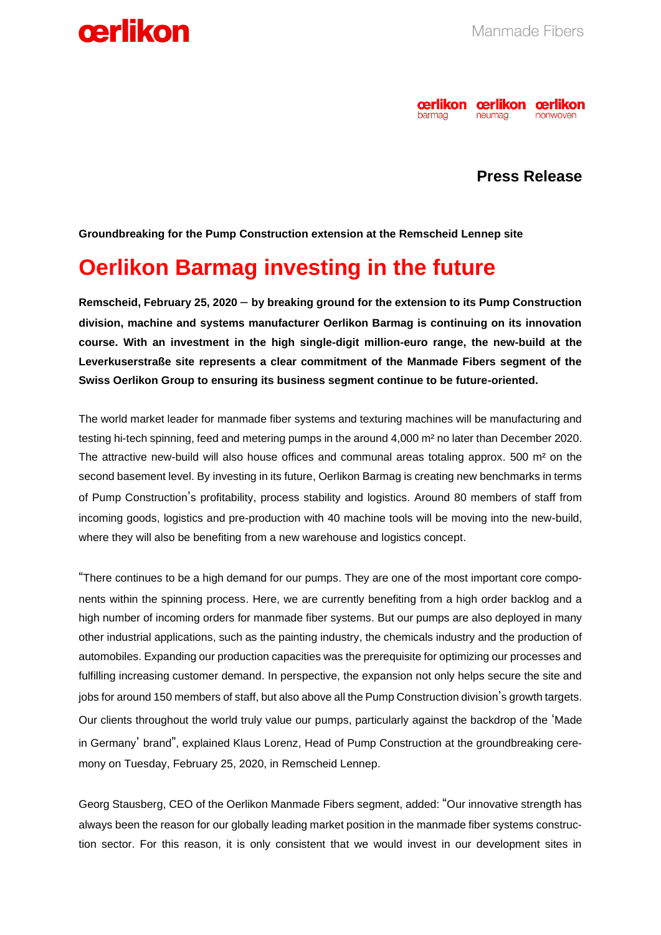



## **Press Release**

**Groundbreaking for the Pump Construction extension at the Remscheid Lennep site**

## **Oerlikon Barmag investing in the future**

**Remscheid, February 25, 2020** – **by breaking ground for the extension to its Pump Construction division, machine and systems manufacturer Oerlikon Barmag is continuing on its innovation course. With an investment in the high single-digit million-euro range, the new-build at the Leverkuserstraße site represents a clear commitment of the Manmade Fibers segment of the Swiss Oerlikon Group to ensuring its business segment continue to be future-oriented.**

The world market leader for manmade fiber systems and texturing machines will be manufacturing and testing hi-tech spinning, feed and metering pumps in the around 4,000 m² no later than December 2020. The attractive new-build will also house offices and communal areas totaling approx. 500 m² on the second basement level. By investing in its future, Oerlikon Barmag is creating new benchmarks in terms of Pump Construction's profitability, process stability and logistics. Around 80 members of staff from incoming goods, logistics and pre-production with 40 machine tools will be moving into the new-build, where they will also be benefiting from a new warehouse and logistics concept.

"There continues to be a high demand for our pumps. They are one of the most important core components within the spinning process. Here, we are currently benefiting from a high order backlog and a high number of incoming orders for manmade fiber systems. But our pumps are also deployed in many other industrial applications, such as the painting industry, the chemicals industry and the production of automobiles. Expanding our production capacities was the prerequisite for optimizing our processes and fulfilling increasing customer demand. In perspective, the expansion not only helps secure the site and jobs for around 150 members of staff, but also above all the Pump Construction division's growth targets. Our clients throughout the world truly value our pumps, particularly against the backdrop of the 'Made in Germany' brand", explained Klaus Lorenz, Head of Pump Construction at the groundbreaking ceremony on Tuesday, February 25, 2020, in Remscheid Lennep.

Georg Stausberg, CEO of the Oerlikon Manmade Fibers segment, added: "Our innovative strength has always been the reason for our globally leading market position in the manmade fiber systems construction sector. For this reason, it is only consistent that we would invest in our development sites in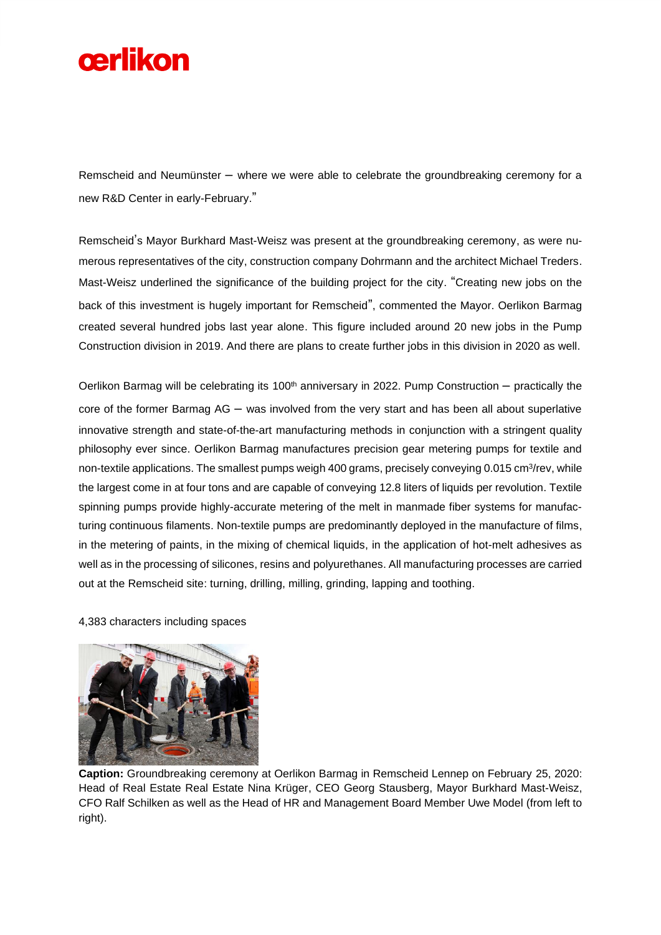

Remscheid and Neumünster – where we were able to celebrate the groundbreaking ceremony for a new R&D Center in early-February."

Remscheid's Mayor Burkhard Mast-Weisz was present at the groundbreaking ceremony, as were numerous representatives of the city, construction company Dohrmann and the architect Michael Treders. Mast-Weisz underlined the significance of the building project for the city. "Creating new jobs on the back of this investment is hugely important for Remscheid", commented the Mayor. Oerlikon Barmag created several hundred jobs last year alone. This figure included around 20 new jobs in the Pump Construction division in 2019. And there are plans to create further jobs in this division in 2020 as well.

Oerlikon Barmag will be celebrating its  $100<sup>th</sup>$  anniversary in 2022. Pump Construction – practically the core of the former Barmag AG – was involved from the very start and has been all about superlative innovative strength and state-of-the-art manufacturing methods in conjunction with a stringent quality philosophy ever since. Oerlikon Barmag manufactures precision gear metering pumps for textile and non-textile applications. The smallest pumps weigh 400 grams, precisely conveying 0.015 cm<sup>3</sup>/rev, while the largest come in at four tons and are capable of conveying 12.8 liters of liquids per revolution. Textile spinning pumps provide highly-accurate metering of the melt in manmade fiber systems for manufacturing continuous filaments. Non-textile pumps are predominantly deployed in the manufacture of films, in the metering of paints, in the mixing of chemical liquids, in the application of hot-melt adhesives as well as in the processing of silicones, resins and polyurethanes. All manufacturing processes are carried out at the Remscheid site: turning, drilling, milling, grinding, lapping and toothing.

4,383 characters including spaces



**Caption:** Groundbreaking ceremony at Oerlikon Barmag in Remscheid Lennep on February 25, 2020: Head of Real Estate Real Estate Nina Krüger, CEO Georg Stausberg, Mayor Burkhard Mast-Weisz, CFO Ralf Schilken as well as the Head of HR and Management Board Member Uwe Model (from left to right).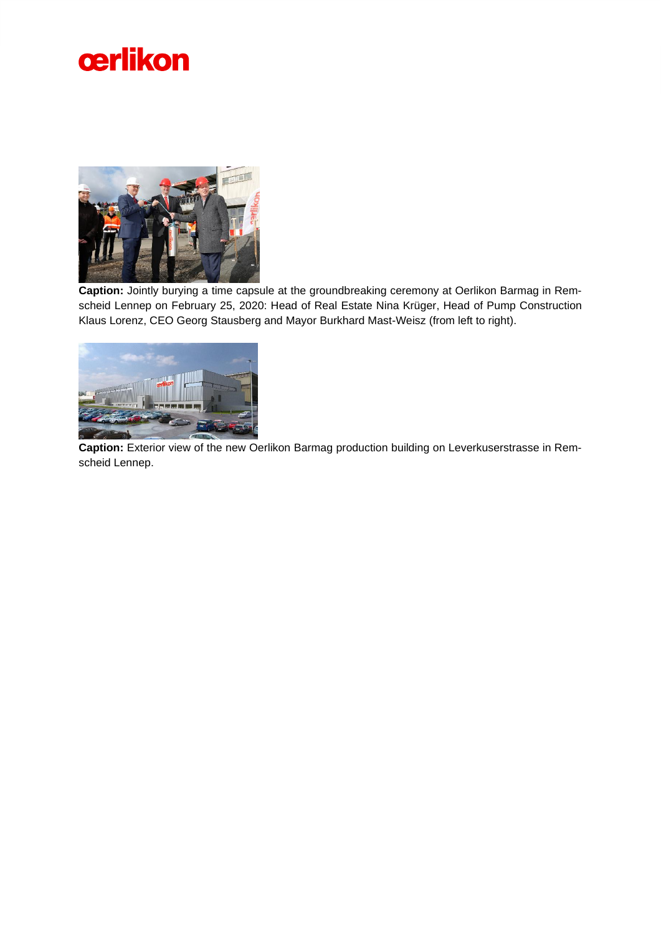



**Caption:** Jointly burying a time capsule at the groundbreaking ceremony at Oerlikon Barmag in Remscheid Lennep on February 25, 2020: Head of Real Estate Nina Krüger, Head of Pump Construction Klaus Lorenz, CEO Georg Stausberg and Mayor Burkhard Mast-Weisz (from left to right).



**Caption:** Exterior view of the new Oerlikon Barmag production building on Leverkuserstrasse in Remscheid Lennep.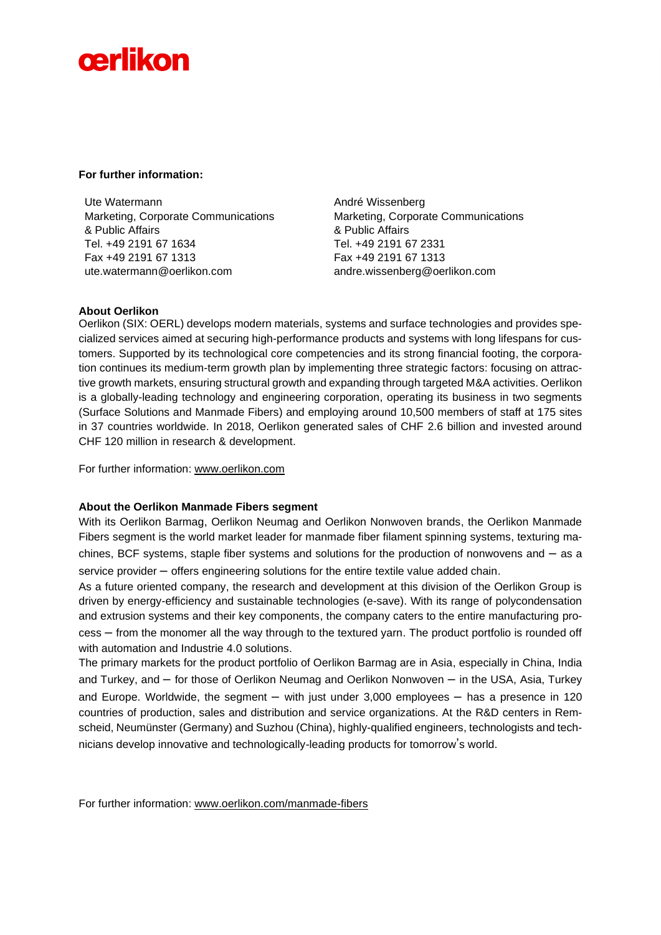# cerlikon

### **For further information:**

Ute Watermann Marketing, Corporate Communications & Public Affairs Tel. +49 2191 67 1634 Fax +49 2191 67 1313 ute.watermann@oerlikon.com

André Wissenberg Marketing, Corporate Communications & Public Affairs Tel. +49 2191 67 2331 Fax +49 2191 67 1313 andre.wissenberg@oerlikon.com

## **About Oerlikon**

Oerlikon (SIX: OERL) develops modern materials, systems and surface technologies and provides specialized services aimed at securing high-performance products and systems with long lifespans for customers. Supported by its technological core competencies and its strong financial footing, the corporation continues its medium-term growth plan by implementing three strategic factors: focusing on attractive growth markets, ensuring structural growth and expanding through targeted M&A activities. Oerlikon is a globally-leading technology and engineering corporation, operating its business in two segments (Surface Solutions and Manmade Fibers) and employing around 10,500 members of staff at 175 sites in 37 countries worldwide. In 2018, Oerlikon generated sales of CHF 2.6 billion and invested around CHF 120 million in research & development.

For further information: [www.oerlikon.com](http://www.oerlikon.com/)

## **About the Oerlikon Manmade Fibers segment**

With its Oerlikon Barmag, Oerlikon Neumag and Oerlikon Nonwoven brands, the Oerlikon Manmade Fibers segment is the world market leader for manmade fiber filament spinning systems, texturing machines, BCF systems, staple fiber systems and solutions for the production of nonwovens and  $-$  as a service provider – offers engineering solutions for the entire textile value added chain.

As a future oriented company, the research and development at this division of the Oerlikon Group is driven by energy-efficiency and sustainable technologies (e-save). With its range of polycondensation and extrusion systems and their key components, the company caters to the entire manufacturing process – from the monomer all the way through to the textured yarn. The product portfolio is rounded off with automation and Industrie 4.0 solutions.

The primary markets for the product portfolio of Oerlikon Barmag are in Asia, especially in China, India and Turkey, and – for those of Oerlikon Neumag and Oerlikon Nonwoven – in the USA, Asia, Turkey and Europe. Worldwide, the segment  $-$  with just under 3,000 employees  $-$  has a presence in 120 countries of production, sales and distribution and service organizations. At the R&D centers in Remscheid, Neumünster (Germany) and Suzhou (China), highly-qualified engineers, technologists and technicians develop innovative and technologically-leading products for tomorrow's world.

For further information: [www.oerlikon.com/manmade-fibers](http://www.oerlikon.com/manmade-fibers)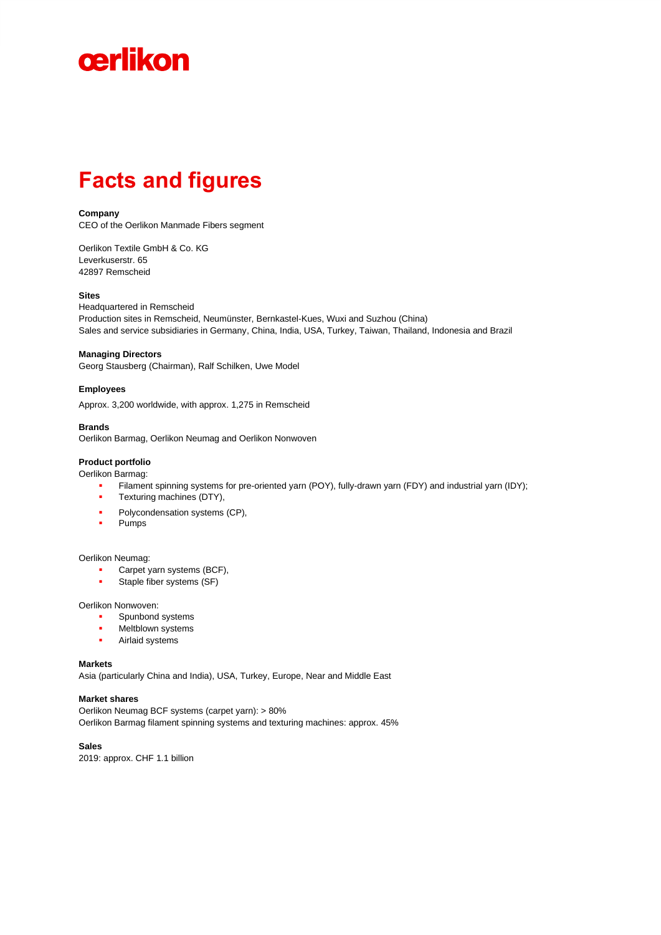

# **Facts and figures**

#### **Company**

CEO of the Oerlikon Manmade Fibers segment

Oerlikon Textile GmbH & Co. KG Leverkuserstr. 65 42897 Remscheid

#### **Sites**

Headquartered in Remscheid Production sites in Remscheid, Neumünster, Bernkastel-Kues, Wuxi and Suzhou (China) Sales and service subsidiaries in Germany, China, India, USA, Turkey, Taiwan, Thailand, Indonesia and Brazil

#### **Managing Directors**

Georg Stausberg (Chairman), Ralf Schilken, Uwe Model

#### **Employees**

Approx. 3,200 worldwide, with approx. 1,275 in Remscheid

#### **Brands**

Oerlikon Barmag, Oerlikon Neumag and Oerlikon Nonwoven

#### **Product portfolio**

Oerlikon Barmag:

- Filament spinning systems for pre-oriented yarn (POY), fully-drawn yarn (FDY) and industrial yarn (IDY);
- Texturing machines (DTY),
- **•** Polycondensation systems (CP),
- Pumps

#### Oerlikon Neumag:

- Carpet yarn systems (BCF),
- **•** Staple fiber systems (SF)

Oerlikon Nonwoven:

- Spunbond systems
- Meltblown systems
- Airlaid systems

#### **Markets**

Asia (particularly China and India), USA, Turkey, Europe, Near and Middle East

#### **Market shares**

Oerlikon Neumag BCF systems (carpet yarn): > 80% Oerlikon Barmag filament spinning systems and texturing machines: approx. 45%

**Sales**

2019: approx. CHF 1.1 billion